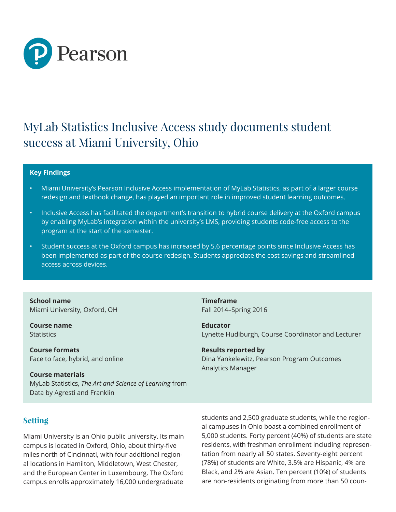

# MyLab Statistics Inclusive Access study documents student success at Miami University, Ohio

#### **Key Findings**

- Miami University's Pearson Inclusive Access implementation of MyLab Statistics, as part of a larger course redesign and textbook change, has played an important role in improved student learning outcomes.
- Inclusive Access has facilitated the department's transition to hybrid course delivery at the Oxford campus by enabling MyLab's integration within the university's LMS, providing students code-free access to the program at the start of the semester.
- Student success at the Oxford campus has increased by 5.6 percentage points since Inclusive Access has been implemented as part of the course redesign. Students appreciate the cost savings and streamlined access across devices.

**School name** Miami University, Oxford, OH

**Course name Statistics** 

**Course formats** Face to face, hybrid, and online

**Course materials** MyLab Statistics, *The Art and Science of Learning* from Data by Agresti and Franklin

**Timeframe** Fall 2014–Spring 2016

**Educator** Lynette Hudiburgh, Course Coordinator and Lecturer

**Results reported by** Dina Yankelewitz, Pearson Program Outcomes Analytics Manager

# **Setting**

Miami University is an Ohio public university. Its main campus is located in Oxford, Ohio, about thirty-five miles north of Cincinnati, with four additional regional locations in Hamilton, Middletown, West Chester, and the European Center in Luxembourg. The Oxford campus enrolls approximately 16,000 undergraduate

students and 2,500 graduate students, while the regional campuses in Ohio boast a combined enrollment of 5,000 students. Forty percent (40%) of students are state residents, with freshman enrollment including representation from nearly all 50 states. Seventy-eight percent (78%) of students are White, 3.5% are Hispanic, 4% are Black, and 2% are Asian. Ten percent (10%) of students are non-residents originating from more than 50 coun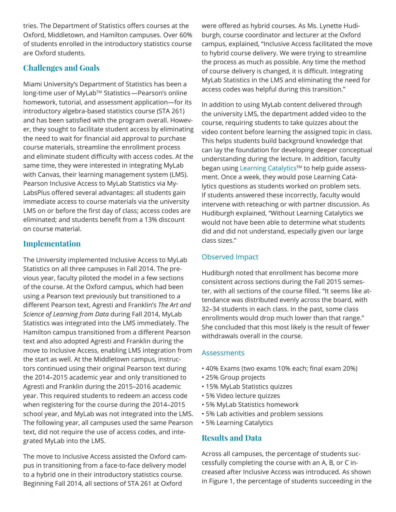tries. The Department of Statistics offers courses at the Oxford, Middletown, and Hamilton campuses. Over 60% of students enrolled in the introductory statistics course are Oxford students.

# **Challenges and Goals**

Miami University's Department of Statistics has been a long-time user of MyLab™ Statistics—Pearson's online homework, tutorial, and assessment application—for its introductory algebra-based statistics course (STA 261) and has been satisfied with the program overall. However, they sought to facilitate student access by eliminating the need to wait for financial aid approval to purchase course materials, streamline the enrollment process and eliminate student difficulty with access codes. At the same time, they were interested in integrating MyLab with Canvas, their learning management system (LMS). Pearson Inclusive Access to MyLab Statistics via My-LabsPlus offered several advantages: all students gain immediate access to course materials via the university LMS on or before the first day of class; access codes are eliminated; and students benefit from a 13% discount on course material.

# **Implementation**

The University implemented Inclusive Access to MyLab Statistics on all three campuses in Fall 2014. The previous year, faculty piloted the model in a few sections of the course. At the Oxford campus, which had been using a Pearson text previously but transitioned to a different Pearson text, Agresti and Franklin's *The Art and Science of Learning from Data* during Fall 2014, MyLab Statistics was integrated into the LMS immediately. The Hamilton campus transitioned from a different Pearson text and also adopted Agresti and Franklin during the move to Inclusive Access, enabling LMS integration from the start as well. At the Middletown campus, instructors continued using their original Pearson text during the 2014–2015 academic year and only transitioned to Agresti and Franklin during the 2015–2016 academic year. This required students to redeem an access code when registering for the course during the 2014–2015 school year, and MyLab was not integrated into the LMS. The following year, all campuses used the same Pearson text, did not require the use of access codes, and integrated MyLab into the LMS.

The move to Inclusive Access assisted the Oxford campus in transitioning from a face-to-face delivery model to a hybrid one in their introductory statistics course. Beginning Fall 2014, all sections of STA 261 at Oxford

were offered as hybrid courses. As Ms. Lynette Hudiburgh, course coordinator and lecturer at the Oxford campus, explained, "Inclusive Access facilitated the move to hybrid course delivery. We were trying to streamline the process as much as possible. Any time the method of course delivery is changed, it is difficult. Integrating MyLab Statistics in the LMS and eliminating the need for access codes was helpful during this transition."

In addition to using MyLab content delivered through the university LMS, the department added video to the course, requiring students to take quizzes about the video content before learning the assigned topic in class. This helps students build background knowledge that can lay the foundation for developing deeper conceptual understanding during the lecture. In addition, faculty began using Learning Catalytics™ to help guide assessment. Once a week, they would pose Learning Catalytics questions as students worked on problem sets. If students answered these incorrectly, faculty would intervene with reteaching or with partner discussion. As Hudiburgh explained, "Without Learning Catalytics we would not have been able to determine what students did and did not understand, especially given our large class sizes."

# Observed Impact

Hudiburgh noted that enrollment has become more consistent across sections during the Fall 2015 semester, with all sections of the course filled. "It seems like attendance was distributed evenly across the board, with 32–34 students in each class. In the past, some class enrollments would drop much lower than that range." She concluded that this most likely is the result of fewer withdrawals overall in the course.

## Assessments

- 40% Exams (two exams 10% each; final exam 20%)
- 25% Group projects
- 15% MyLab Statistics quizzes
- 5% Video lecture quizzes
- 5% MyLab Statistics homework
- 5% Lab activities and problem sessions
- 5% Learning Catalytics

# **Results and Data**

Across all campuses, the percentage of students successfully completing the course with an A, B, or C increased after Inclusive Access was introduced. As shown in Figure 1, the percentage of students succeeding in the